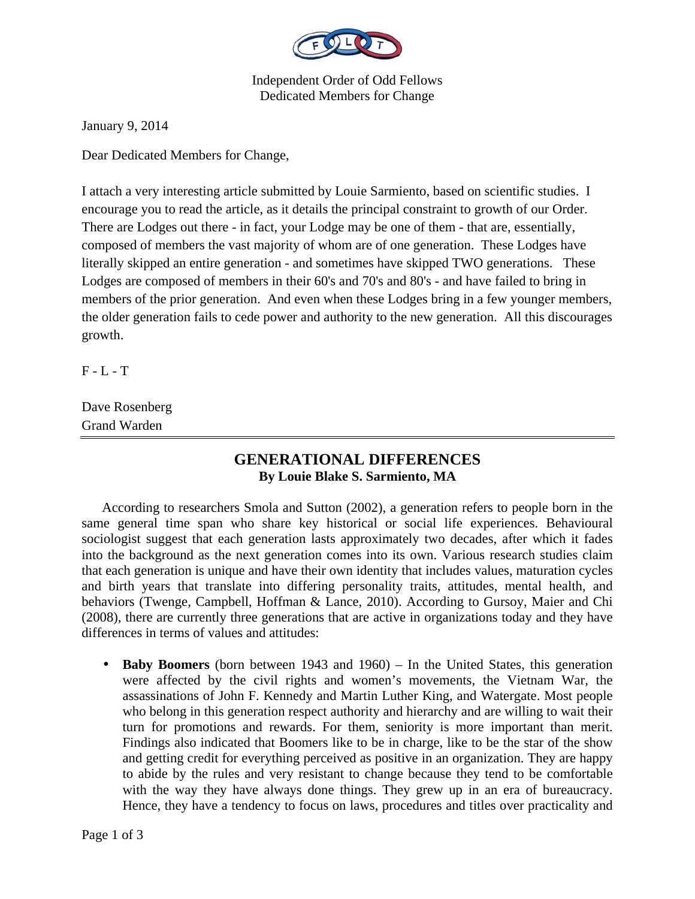

Independent Order of Odd Fellows Dedicated Members for Change

January 9, 2014

Dear Dedicated Members for Change,

I attach a very interesting article submitted by Louie Sarmiento, based on scientific studies. I encourage you to read the article, as it details the principal constraint to growth of our Order. There are Lodges out there - in fact, your Lodge may be one of them - that are, essentially, composed of members the vast majority of whom are of one generation. These Lodges have literally skipped an entire generation - and sometimes have skipped TWO generations. These Lodges are composed of members in their 60's and 70's and 80's - and have failed to bring in members of the prior generation. And even when these Lodges bring in a few younger members, the older generation fails to cede power and authority to the new generation. All this discourages growth.

 $F - L - T$ 

Dave Rosenberg Grand Warden

## **GENERATIONAL DIFFERENCES By Louie Blake S. Sarmiento, MA**

According to researchers Smola and Sutton (2002), a generation refers to people born in the same general time span who share key historical or social life experiences. Behavioural sociologist suggest that each generation lasts approximately two decades, after which it fades into the background as the next generation comes into its own. Various research studies claim that each generation is unique and have their own identity that includes values, maturation cycles and birth years that translate into differing personality traits, attitudes, mental health, and behaviors (Twenge, Campbell, Hoffman & Lance, 2010). According to Gursoy, Maier and Chi (2008), there are currently three generations that are active in organizations today and they have differences in terms of values and attitudes:

• **Baby Boomers** (born between 1943 and 1960) – In the United States, this generation were affected by the civil rights and women's movements, the Vietnam War, the assassinations of John F. Kennedy and Martin Luther King, and Watergate. Most people who belong in this generation respect authority and hierarchy and are willing to wait their turn for promotions and rewards. For them, seniority is more important than merit. Findings also indicated that Boomers like to be in charge, like to be the star of the show and getting credit for everything perceived as positive in an organization. They are happy to abide by the rules and very resistant to change because they tend to be comfortable with the way they have always done things. They grew up in an era of bureaucracy. Hence, they have a tendency to focus on laws, procedures and titles over practicality and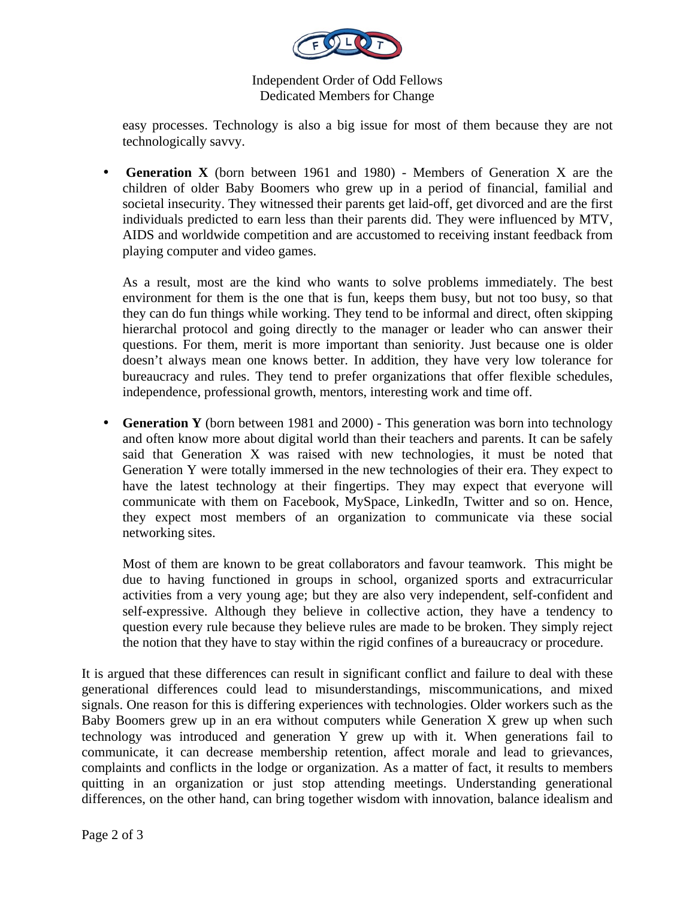

Independent Order of Odd Fellows Dedicated Members for Change

easy processes. Technology is also a big issue for most of them because they are not technologically savvy.

• **Generation X** (born between 1961 and 1980) - Members of Generation X are the children of older Baby Boomers who grew up in a period of financial, familial and societal insecurity. They witnessed their parents get laid-off, get divorced and are the first individuals predicted to earn less than their parents did. They were influenced by MTV, AIDS and worldwide competition and are accustomed to receiving instant feedback from playing computer and video games.

As a result, most are the kind who wants to solve problems immediately. The best environment for them is the one that is fun, keeps them busy, but not too busy, so that they can do fun things while working. They tend to be informal and direct, often skipping hierarchal protocol and going directly to the manager or leader who can answer their questions. For them, merit is more important than seniority. Just because one is older doesn't always mean one knows better. In addition, they have very low tolerance for bureaucracy and rules. They tend to prefer organizations that offer flexible schedules, independence, professional growth, mentors, interesting work and time off.

• **Generation Y** (born between 1981 and 2000) - This generation was born into technology and often know more about digital world than their teachers and parents. It can be safely said that Generation X was raised with new technologies, it must be noted that Generation Y were totally immersed in the new technologies of their era. They expect to have the latest technology at their fingertips. They may expect that everyone will communicate with them on Facebook, MySpace, LinkedIn, Twitter and so on. Hence, they expect most members of an organization to communicate via these social networking sites.

Most of them are known to be great collaborators and favour teamwork. This might be due to having functioned in groups in school, organized sports and extracurricular activities from a very young age; but they are also very independent, self-confident and self-expressive. Although they believe in collective action, they have a tendency to question every rule because they believe rules are made to be broken. They simply reject the notion that they have to stay within the rigid confines of a bureaucracy or procedure.

It is argued that these differences can result in significant conflict and failure to deal with these generational differences could lead to misunderstandings, miscommunications, and mixed signals. One reason for this is differing experiences with technologies. Older workers such as the Baby Boomers grew up in an era without computers while Generation X grew up when such technology was introduced and generation Y grew up with it. When generations fail to communicate, it can decrease membership retention, affect morale and lead to grievances, complaints and conflicts in the lodge or organization. As a matter of fact, it results to members quitting in an organization or just stop attending meetings. Understanding generational differences, on the other hand, can bring together wisdom with innovation, balance idealism and